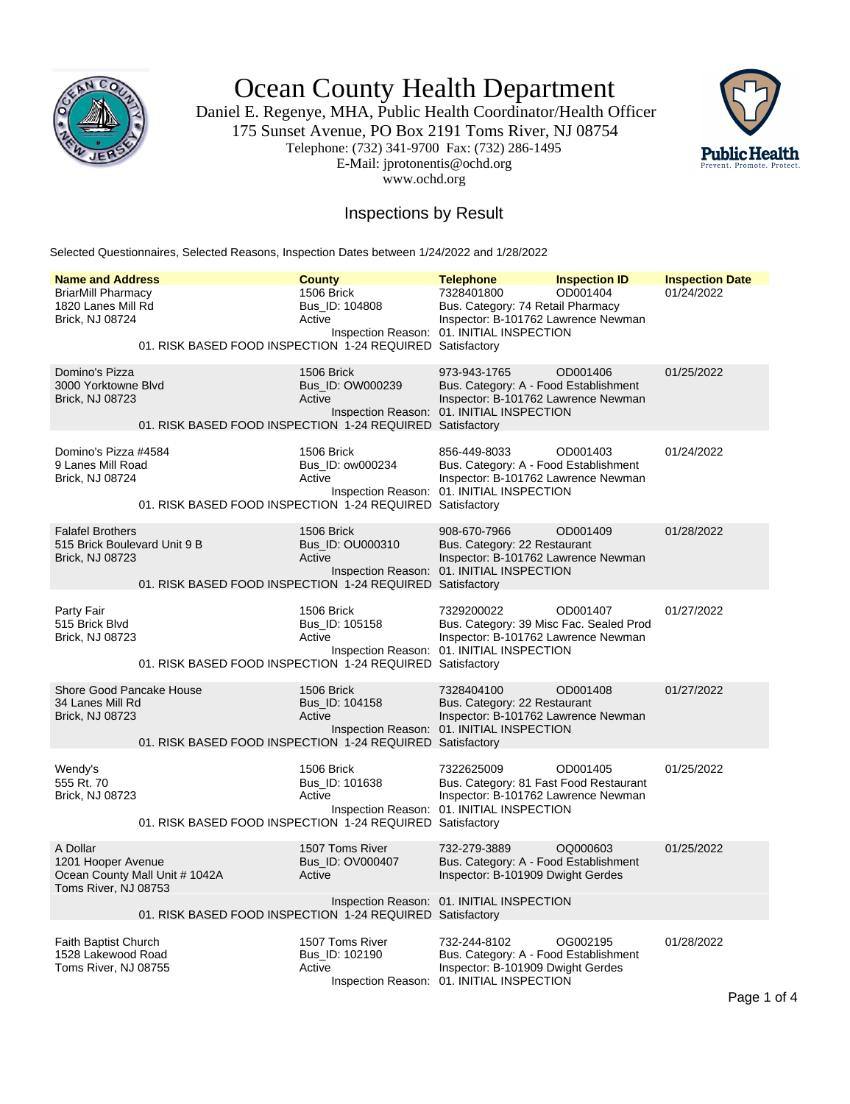

Ocean County Health Department

Daniel E. Regenye, MHA, Public Health Coordinator/Health Officer 175 Sunset Avenue, PO Box 2191 Toms River, NJ 08754 Telephone: (732) 341-9700 Fax: (732) 286-1495 E-Mail: jprotonentis@ochd.org www.ochd.org



## Inspections by Result

Selected Questionnaires, Selected Reasons, Inspection Dates between 1/24/2022 and 1/28/2022

| <b>Name and Address</b>                                                                  |  | <b>County</b>                                                                                         | <b>Telephone</b>                                                                                                                          | <b>Inspection ID</b> | <b>Inspection Date</b> |
|------------------------------------------------------------------------------------------|--|-------------------------------------------------------------------------------------------------------|-------------------------------------------------------------------------------------------------------------------------------------------|----------------------|------------------------|
| <b>BriarMill Pharmacy</b><br>1820 Lanes Mill Rd<br>Brick, NJ 08724                       |  | 1506 Brick<br>Bus ID: 104808<br>Active<br>01. RISK BASED FOOD INSPECTION 1-24 REQUIRED Satisfactory   | 7328401800<br>Bus. Category: 74 Retail Pharmacy<br>Inspector: B-101762 Lawrence Newman<br>Inspection Reason: 01. INITIAL INSPECTION       | OD001404             | 01/24/2022             |
|                                                                                          |  |                                                                                                       |                                                                                                                                           |                      |                        |
| Domino's Pizza<br>3000 Yorktowne Blvd<br><b>Brick, NJ 08723</b>                          |  | 1506 Brick<br>Bus_ID: OW000239<br>Active<br>01. RISK BASED FOOD INSPECTION 1-24 REQUIRED Satisfactory | 973-943-1765<br>Bus. Category: A - Food Establishment<br>Inspector: B-101762 Lawrence Newman<br>Inspection Reason: 01. INITIAL INSPECTION | OD001406             | 01/25/2022             |
| Domino's Pizza #4584<br>9 Lanes Mill Road<br>Brick, NJ 08724                             |  | 1506 Brick<br>Bus_ID: ow000234<br>Active<br>01. RISK BASED FOOD INSPECTION 1-24 REQUIRED Satisfactory | 856-449-8033<br>Bus. Category: A - Food Establishment<br>Inspector: B-101762 Lawrence Newman<br>Inspection Reason: 01. INITIAL INSPECTION | OD001403             | 01/24/2022             |
| <b>Falafel Brothers</b><br>515 Brick Boulevard Unit 9 B<br><b>Brick, NJ 08723</b>        |  | 1506 Brick<br>Bus_ID: OU000310<br>Active<br>01. RISK BASED FOOD INSPECTION 1-24 REQUIRED Satisfactory | 908-670-7966<br>Bus. Category: 22 Restaurant<br>Inspector: B-101762 Lawrence Newman<br>Inspection Reason: 01. INITIAL INSPECTION          | OD001409             | 01/28/2022             |
| Party Fair<br>515 Brick Blvd<br>Brick, NJ 08723                                          |  | 1506 Brick<br>Bus_ID: 105158<br>Active<br>01. RISK BASED FOOD INSPECTION 1-24 REQUIRED Satisfactory   | 7329200022<br>Bus. Category: 39 Misc Fac. Sealed Prod<br>Inspector: B-101762 Lawrence Newman<br>Inspection Reason: 01. INITIAL INSPECTION | OD001407             | 01/27/2022             |
| Shore Good Pancake House<br>34 Lanes Mill Rd<br><b>Brick, NJ 08723</b>                   |  | 1506 Brick<br>Bus ID: 104158<br>Active<br>01. RISK BASED FOOD INSPECTION 1-24 REQUIRED Satisfactory   | 7328404100<br>Bus. Category: 22 Restaurant<br>Inspector: B-101762 Lawrence Newman<br>Inspection Reason: 01. INITIAL INSPECTION            | OD001408             | 01/27/2022             |
| Wendy's<br>555 Rt. 70<br>Brick, NJ 08723                                                 |  | 1506 Brick<br>Bus_ID: 101638<br>Active<br>01. RISK BASED FOOD INSPECTION 1-24 REQUIRED Satisfactory   | 7322625009<br>Bus. Category: 81 Fast Food Restaurant<br>Inspector: B-101762 Lawrence Newman<br>Inspection Reason: 01. INITIAL INSPECTION  | OD001405             | 01/25/2022             |
| A Dollar<br>1201 Hooper Avenue<br>Ocean County Mall Unit # 1042A<br>Toms River, NJ 08753 |  | 1507 Toms River<br>Bus ID: OV000407<br>Active                                                         | 732-279-3889<br>Bus. Category: A - Food Establishment<br>Inspector: B-101909 Dwight Gerdes<br>Inspection Reason: 01. INITIAL INSPECTION   | OQ000603             | 01/25/2022             |
| 01. RISK BASED FOOD INSPECTION 1-24 REQUIRED Satisfactory                                |  |                                                                                                       |                                                                                                                                           |                      |                        |
| Faith Baptist Church<br>1528 Lakewood Road<br>Toms River, NJ 08755                       |  | 1507 Toms River<br>Bus_ID: 102190<br>Active                                                           | 732-244-8102<br>Bus. Category: A - Food Establishment<br>Inspector: B-101909 Dwight Gerdes<br>Inspection Reason: 01. INITIAL INSPECTION   | OG002195             | 01/28/2022             |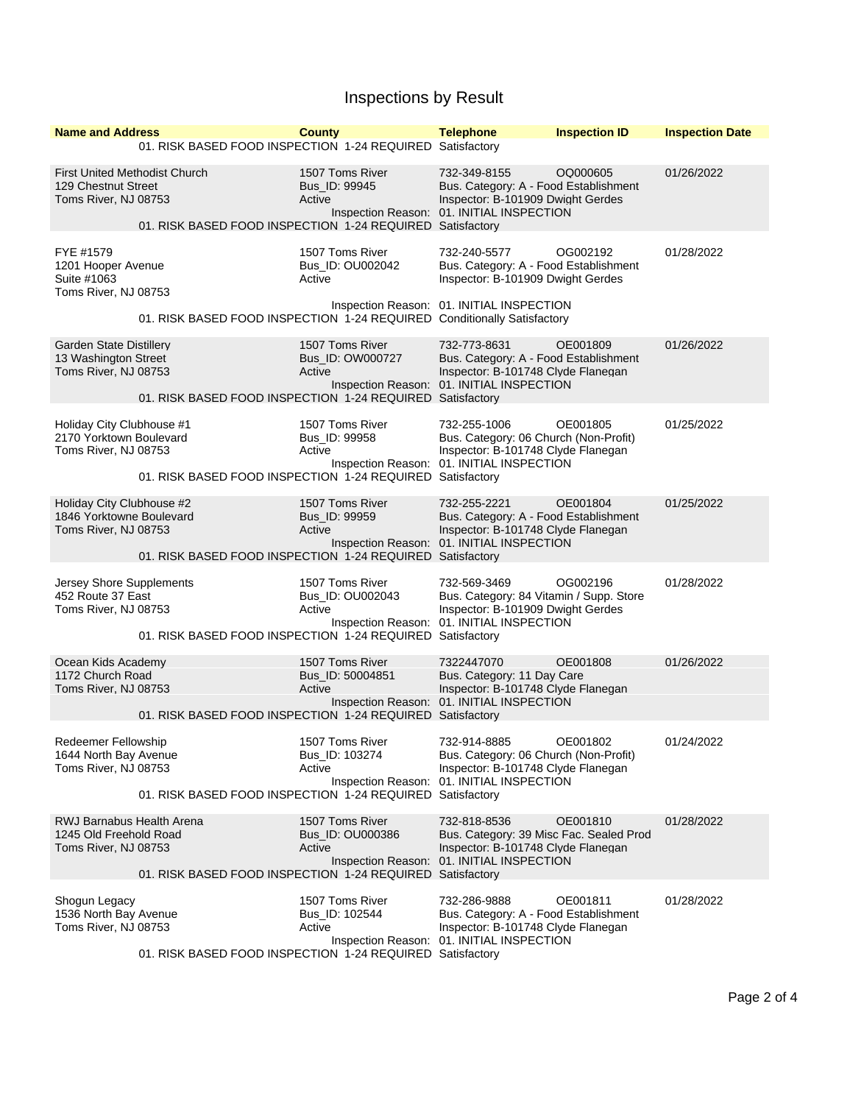## Inspections by Result

| <b>Name and Address</b>                                                      |                                                                                                   | <b>County</b>                                 | <b>Telephone</b>                                                                                                                           | <b>Inspection ID</b> | <b>Inspection Date</b> |
|------------------------------------------------------------------------------|---------------------------------------------------------------------------------------------------|-----------------------------------------------|--------------------------------------------------------------------------------------------------------------------------------------------|----------------------|------------------------|
|                                                                              | 01. RISK BASED FOOD INSPECTION 1-24 REQUIRED Satisfactory                                         |                                               |                                                                                                                                            |                      |                        |
| 129 Chestnut Street<br>Toms River, NJ 08753                                  | <b>First United Methodist Church</b><br>01. RISK BASED FOOD INSPECTION 1-24 REQUIRED Satisfactory | 1507 Toms River<br>Bus_ID: 99945<br>Active    | 732-349-8155<br>Bus. Category: A - Food Establishment<br>Inspector: B-101909 Dwight Gerdes<br>Inspection Reason: 01. INITIAL INSPECTION    | OQ000605             | 01/26/2022             |
|                                                                              |                                                                                                   |                                               |                                                                                                                                            |                      |                        |
| FYE #1579<br>1201 Hooper Avenue<br>Suite #1063<br>Toms River, NJ 08753       |                                                                                                   | 1507 Toms River<br>Bus_ID: OU002042<br>Active | 732-240-5577<br>Bus. Category: A - Food Establishment<br>Inspector: B-101909 Dwight Gerdes                                                 | OG002192             | 01/28/2022             |
|                                                                              | 01. RISK BASED FOOD INSPECTION 1-24 REQUIRED Conditionally Satisfactory                           |                                               | Inspection Reason: 01. INITIAL INSPECTION                                                                                                  |                      |                        |
| Garden State Distillery<br>13 Washington Street<br>Toms River, NJ 08753      |                                                                                                   | 1507 Toms River<br>Bus_ID: OW000727<br>Active | 732-773-8631<br>Bus. Category: A - Food Establishment<br>Inspector: B-101748 Clyde Flanegan                                                | OE001809             | 01/26/2022             |
|                                                                              | 01. RISK BASED FOOD INSPECTION 1-24 REQUIRED Satisfactory                                         |                                               | Inspection Reason: 01. INITIAL INSPECTION                                                                                                  |                      |                        |
| Holiday City Clubhouse #1<br>2170 Yorktown Boulevard<br>Toms River, NJ 08753 | 01. RISK BASED FOOD INSPECTION 1-24 REQUIRED Satisfactory                                         | 1507 Toms River<br>Bus_ID: 99958<br>Active    | 732-255-1006<br>Bus. Category: 06 Church (Non-Profit)<br>Inspector: B-101748 Clyde Flanegan<br>Inspection Reason: 01. INITIAL INSPECTION   | OE001805             | 01/25/2022             |
| Holiday City Clubhouse #2                                                    |                                                                                                   | 1507 Toms River                               | 732-255-2221                                                                                                                               | OE001804             | 01/25/2022             |
| 1846 Yorktowne Boulevard<br>Toms River, NJ 08753                             |                                                                                                   | Bus ID: 99959<br>Active                       | Bus. Category: A - Food Establishment<br>Inspector: B-101748 Clyde Flanegan<br>Inspection Reason: 01. INITIAL INSPECTION                   |                      |                        |
|                                                                              | 01. RISK BASED FOOD INSPECTION 1-24 REQUIRED Satisfactory                                         |                                               |                                                                                                                                            |                      |                        |
| Jersey Shore Supplements<br>452 Route 37 East<br>Toms River, NJ 08753        |                                                                                                   | 1507 Toms River<br>Bus_ID: OU002043<br>Active | 732-569-3469<br>Bus. Category: 84 Vitamin / Supp. Store<br>Inspector: B-101909 Dwight Gerdes<br>Inspection Reason: 01. INITIAL INSPECTION  | OG002196             | 01/28/2022             |
|                                                                              | 01. RISK BASED FOOD INSPECTION 1-24 REQUIRED Satisfactory                                         |                                               |                                                                                                                                            |                      |                        |
| Ocean Kids Academy<br>1172 Church Road<br>Toms River, NJ 08753               |                                                                                                   | 1507 Toms River<br>Bus ID: 50004851<br>Active | 7322447070<br>Bus. Category: 11 Day Care<br>Inspector: B-101748 Clyde Flanegan<br>Inspection Reason: 01. INITIAL INSPECTION                | OE001808             | 01/26/2022             |
|                                                                              | 01. RISK BASED FOOD INSPECTION 1-24 REQUIRED Satisfactory                                         |                                               |                                                                                                                                            |                      |                        |
| Redeemer Fellowship<br>1644 North Bay Avenue<br>Toms River, NJ 08753         |                                                                                                   | 1507 Toms River<br>Bus_ID: 103274<br>Active   | 732-914-8885<br>Bus. Category: 06 Church (Non-Profit)<br>Inspector: B-101748 Clyde Flanegan<br>Inspection Reason: 01. INITIAL INSPECTION   | OE001802             | 01/24/2022             |
|                                                                              | 01. RISK BASED FOOD INSPECTION 1-24 REQUIRED Satisfactory                                         |                                               |                                                                                                                                            |                      |                        |
| RWJ Barnabus Health Arena<br>1245 Old Freehold Road<br>Toms River, NJ 08753  | 01. RISK BASED FOOD INSPECTION 1-24 REQUIRED Satisfactory                                         | 1507 Toms River<br>Bus_ID: OU000386<br>Active | 732-818-8536<br>Bus. Category: 39 Misc Fac. Sealed Prod<br>Inspector: B-101748 Clyde Flanegan<br>Inspection Reason: 01. INITIAL INSPECTION | OE001810             | 01/28/2022             |
|                                                                              |                                                                                                   |                                               |                                                                                                                                            |                      |                        |
| Shogun Legacy<br>1536 North Bay Avenue<br>Toms River, NJ 08753               |                                                                                                   | 1507 Toms River<br>Bus_ID: 102544<br>Active   | 732-286-9888<br>Bus. Category: A - Food Establishment<br>Inspector: B-101748 Clyde Flanegan<br>Inspection Reason: 01. INITIAL INSPECTION   | OE001811             | 01/28/2022             |
|                                                                              | 01. RISK BASED FOOD INSPECTION 1-24 REQUIRED Satisfactory                                         |                                               |                                                                                                                                            |                      |                        |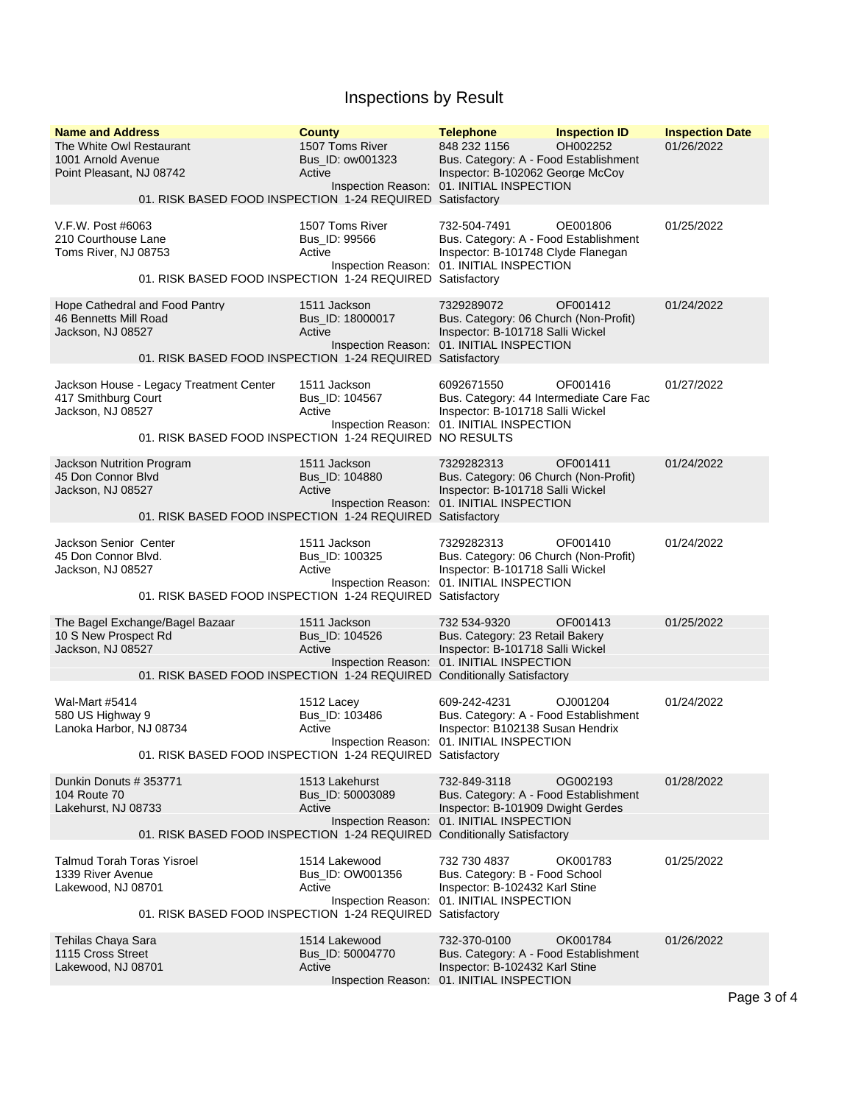## Inspections by Result

| <b>Name and Address</b><br>The White Owl Restaurant<br>1001 Arnold Avenue<br>Point Pleasant, NJ 08742 | <b>County</b><br>1507 Toms River<br>Bus ID: ow001323<br>Active<br>01. RISK BASED FOOD INSPECTION 1-24 REQUIRED Satisfactory | <b>Telephone</b><br>848 232 1156<br>Bus. Category: A - Food Establishment<br>Inspector: B-102062 George McCoy<br>Inspection Reason: 01. INITIAL INSPECTION | <b>Inspection ID</b><br>OH002252 | <b>Inspection Date</b><br>01/26/2022 |
|-------------------------------------------------------------------------------------------------------|-----------------------------------------------------------------------------------------------------------------------------|------------------------------------------------------------------------------------------------------------------------------------------------------------|----------------------------------|--------------------------------------|
| V.F.W. Post #6063<br>210 Courthouse Lane<br>Toms River, NJ 08753                                      | 1507 Toms River<br>Bus_ID: 99566<br>Active<br>01. RISK BASED FOOD INSPECTION 1-24 REQUIRED Satisfactory                     | 732-504-7491<br>Bus. Category: A - Food Establishment<br>Inspector: B-101748 Clyde Flanegan<br>Inspection Reason: 01. INITIAL INSPECTION                   | OE001806                         | 01/25/2022                           |
| Hope Cathedral and Food Pantry<br>46 Bennetts Mill Road<br>Jackson, NJ 08527                          | 1511 Jackson<br>Bus_ID: 18000017<br>Active<br>01. RISK BASED FOOD INSPECTION 1-24 REQUIRED Satisfactory                     | 7329289072<br>Bus. Category: 06 Church (Non-Profit)<br>Inspector: B-101718 Salli Wickel<br>Inspection Reason: 01. INITIAL INSPECTION                       | OF001412                         | 01/24/2022                           |
| Jackson House - Legacy Treatment Center<br>417 Smithburg Court<br>Jackson, NJ 08527                   | 1511 Jackson<br>Bus_ID: 104567<br>Active<br>01. RISK BASED FOOD INSPECTION 1-24 REQUIRED NO RESULTS                         | 6092671550<br>Bus. Category: 44 Intermediate Care Fac<br>Inspector: B-101718 Salli Wickel<br>Inspection Reason: 01. INITIAL INSPECTION                     | OF001416                         | 01/27/2022                           |
| Jackson Nutrition Program<br>45 Don Connor Blvd<br>Jackson, NJ 08527                                  | 1511 Jackson<br>Bus_ID: 104880<br>Active<br>01. RISK BASED FOOD INSPECTION 1-24 REQUIRED Satisfactory                       | 7329282313<br>Bus. Category: 06 Church (Non-Profit)<br>Inspector: B-101718 Salli Wickel<br>Inspection Reason: 01. INITIAL INSPECTION                       | OF001411                         | 01/24/2022                           |
| Jackson Senior Center<br>45 Don Connor Blvd.<br>Jackson, NJ 08527                                     | 1511 Jackson<br>Bus_ID: 100325<br>Active<br>01. RISK BASED FOOD INSPECTION 1-24 REQUIRED Satisfactory                       | 7329282313<br>Bus. Category: 06 Church (Non-Profit)<br>Inspector: B-101718 Salli Wickel<br>Inspection Reason: 01. INITIAL INSPECTION                       | OF001410                         | 01/24/2022                           |
| The Bagel Exchange/Bagel Bazaar<br>10 S New Prospect Rd<br>Jackson, NJ 08527                          | 1511 Jackson<br>Bus_ID: 104526<br>Active<br>01. RISK BASED FOOD INSPECTION 1-24 REQUIRED Conditionally Satisfactory         | 732 534-9320<br>Bus. Category: 23 Retail Bakery<br>Inspector: B-101718 Salli Wickel<br>Inspection Reason: 01. INITIAL INSPECTION                           | OF001413                         | 01/25/2022                           |
| <b>Wal-Mart #5414</b><br>580 US Highway 9<br>Lanoka Harbor, NJ 08734                                  | 1512 Lacey<br>Bus_ID: 103486<br>Active<br>Inspection Reason:<br>01. RISK BASED FOOD INSPECTION 1-24 REQUIRED Satisfactory   | 609-242-4231<br>Bus. Category: A - Food Establishment<br>Inspector: B102138 Susan Hendrix<br>01. INITIAL INSPECTION                                        | OJ001204                         | 01/24/2022                           |
| Dunkin Donuts # 353771<br>104 Route 70<br>Lakehurst, NJ 08733                                         | 1513 Lakehurst<br>Bus ID: 50003089<br>Active<br>01. RISK BASED FOOD INSPECTION 1-24 REQUIRED Conditionally Satisfactory     | 732-849-3118<br>Bus. Category: A - Food Establishment<br>Inspector: B-101909 Dwight Gerdes<br>Inspection Reason: 01. INITIAL INSPECTION                    | OG002193                         | 01/28/2022                           |
| <b>Talmud Torah Toras Yisroel</b><br>1339 River Avenue<br>Lakewood, NJ 08701                          | 1514 Lakewood<br>Bus_ID: OW001356<br>Active<br>01. RISK BASED FOOD INSPECTION 1-24 REQUIRED Satisfactory                    | 732 730 4837<br>Bus. Category: B - Food School<br>Inspector: B-102432 Karl Stine<br>Inspection Reason: 01. INITIAL INSPECTION                              | OK001783                         | 01/25/2022                           |
| Tehilas Chaya Sara<br>1115 Cross Street<br>Lakewood, NJ 08701                                         | 1514 Lakewood<br>Bus_ID: 50004770<br>Active                                                                                 | 732-370-0100<br>Bus. Category: A - Food Establishment<br>Inspector: B-102432 Karl Stine<br>Inspection Reason: 01. INITIAL INSPECTION                       | OK001784                         | 01/26/2022                           |